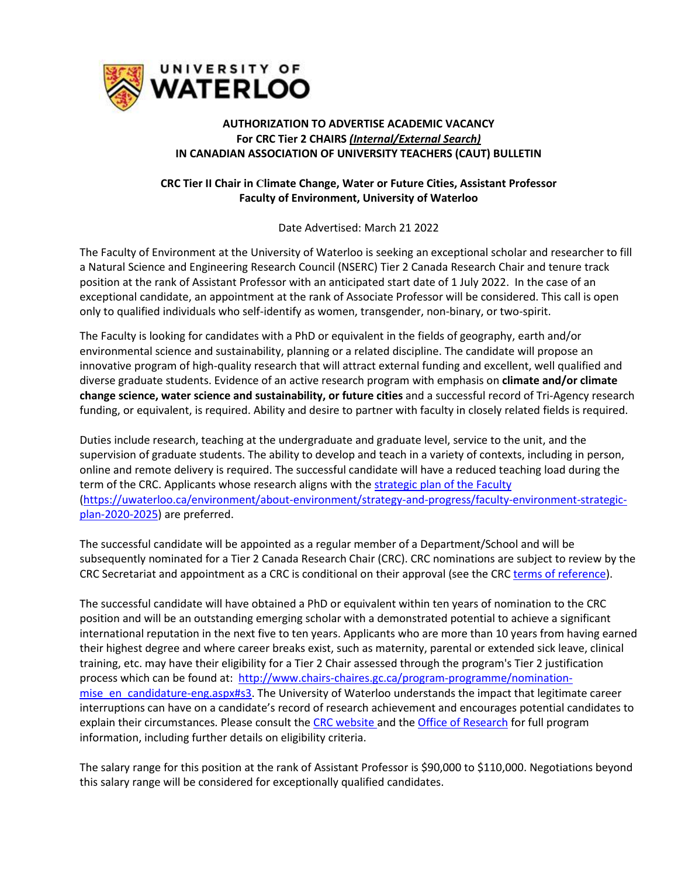

## **AUTHORIZATION TO ADVERTISE ACADEMIC VACANCY For CRC Tier 2 CHAIRS** *(Internal/External Search)* **IN CANADIAN ASSOCIATION OF UNIVERSITY TEACHERS (CAUT) BULLETIN**

## **CRC Tier II Chair in Climate Change, Water or Future Cities, Assistant Professor Faculty of Environment, University of Waterloo**

Date Advertised: March 21 2022

The Faculty of Environment at the University of Waterloo is seeking an exceptional scholar and researcher to fill a Natural Science and Engineering Research Council (NSERC) Tier 2 Canada Research Chair and tenure track position at the rank of Assistant Professor with an anticipated start date of 1 July 2022. In the case of an exceptional candidate, an appointment at the rank of Associate Professor will be considered. This call is open only to qualified individuals who self-identify as women, transgender, non-binary, or two-spirit.

The Faculty is looking for candidates with a PhD or equivalent in the fields of geography, earth and/or environmental science and sustainability, planning or a related discipline. The candidate will propose an innovative program of high-quality research that will attract external funding and excellent, well qualified and diverse graduate students. Evidence of an active research program with emphasis on **climate and/or climate change science, water science and sustainability, or future cities** and a successful record of Tri-Agency research funding, or equivalent, is required. Ability and desire to partner with faculty in closely related fields is required.

Duties include research, teaching at the undergraduate and graduate level, service to the unit, and the supervision of graduate students. The ability to develop and teach in a variety of contexts, including in person, online and remote delivery is required. The successful candidate will have a reduced teaching load during the term of the CRC. Applicants whose research aligns with the [strategic plan of the Faculty](https://uwaterloo.ca/environment/about-environment/strategy-and-progress/faculty-environment-strategic-plan-2020-2025) [\(https://uwaterloo.ca/environment/about-environment/strategy-and-progress/faculty-environment-strategic](https://uwaterloo.ca/environment/about-environment/strategy-and-progress/faculty-environment-strategic-plan-2020-2025)[plan-2020-2025\)](https://uwaterloo.ca/environment/about-environment/strategy-and-progress/faculty-environment-strategic-plan-2020-2025) are preferred.

The successful candidate will be appointed as a regular member of a Department/School and will be subsequently nominated for a Tier 2 Canada Research Chair (CRC). CRC nominations are subject to review by the CRC Secretariat and appointment as a CRC is conditional on their approval (see the CR[C terms of reference\)](http://www.chairs-chaires.gc.ca/).

The successful candidate will have obtained a PhD or equivalent within ten years of nomination to the CRC position and will be an outstanding emerging scholar with a demonstrated potential to achieve a significant international reputation in the next five to ten years. Applicants who are more than 10 years from having earned their highest degree and where career breaks exist, such as maternity, parental or extended sick leave, clinical training, etc. may have their eligibility for a Tier 2 Chair assessed through the program's Tier 2 justification process which can be found at: [http://www.chairs-chaires.gc.ca/program-programme/nomination](http://www.chairs-chaires.gc.ca/program-programme/nomination-mise_en_candidature-eng.aspx#s3)[mise\\_en\\_candidature-eng.aspx#s3.](http://www.chairs-chaires.gc.ca/program-programme/nomination-mise_en_candidature-eng.aspx#s3) The University of Waterloo understands the impact that legitimate career interruptions can have on a candidate's record of research achievement and encourages potential candidates to explain their circumstances. Please consult the [CRC website a](http://www.chairs-chaires.gc.ca/)nd th[e Office of Research](mailto:crc@uwaterloo.ca) for full program information, including further details on eligibility criteria.

The salary range for this position at the rank of Assistant Professor is \$90,000 to \$110,000. Negotiations beyond this salary range will be considered for exceptionally qualified candidates.